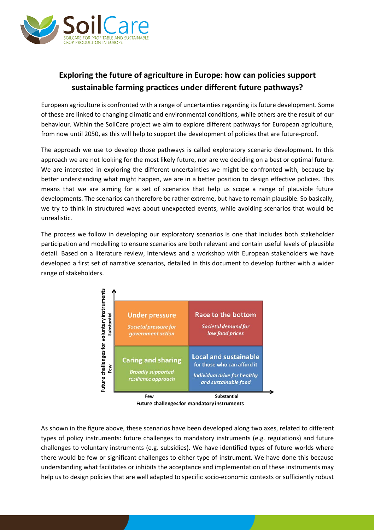

## **Exploring the future of agriculture in Europe: how can policies support sustainable farming practices under different future pathways?**

European agriculture is confronted with a range of uncertainties regarding its future development. Some of these are linked to changing climatic and environmental conditions, while others are the result of our behaviour. Within the SoilCare project we aim to explore different pathways for European agriculture, from now until 2050, as this will help to support the development of policies that are future-proof.

The approach we use to develop those pathways is called exploratory scenario development. In this approach we are not looking for the most likely future, nor are we deciding on a best or optimal future. We are interested in exploring the different uncertainties we might be confronted with, because by better understanding what might happen, we are in a better position to design effective policies. This means that we are aiming for a set of scenarios that help us scope a range of plausible future developments. The scenarios can therefore be rather extreme, but have to remain plausible. So basically, we try to think in structured ways about unexpected events, while avoiding scenarios that would be unrealistic.

The process we follow in developing our exploratory scenarios is one that includes both stakeholder participation and modelling to ensure scenarios are both relevant and contain useful levels of plausible detail. Based on a literature review, interviews and a workshop with European stakeholders we have developed a first set of narrative scenarios, detailed in this document to develop further with a wider range of stakeholders.



Future challenges for mandatory instruments

As shown in the figure above, these scenarios have been developed along two axes, related to different types of policy instruments: future challenges to mandatory instruments (e.g. regulations) and future challenges to voluntary instruments (e.g. subsidies). We have identified types of future worlds where there would be few or significant challenges to either type of instrument. We have done this because understanding what facilitates or inhibits the acceptance and implementation of these instruments may help us to design policies that are well adapted to specific socio-economic contexts or sufficiently robust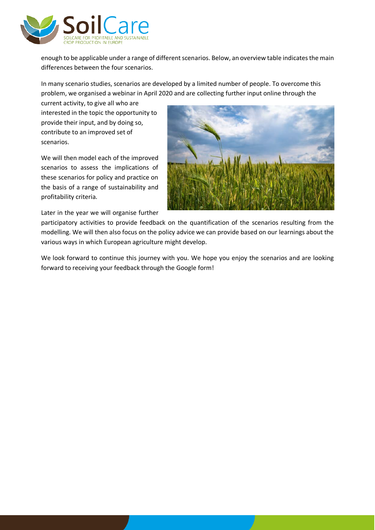

enough to be applicable under a range of different scenarios. Below, an overview table indicates the main differences between the four scenarios.

In many scenario studies, scenarios are developed by a limited number of people. To overcome this problem, we organised a webinar in April 2020 and are collecting further input online through the

current activity, to give all who are interested in the topic the opportunity to provide their input, and by doing so, contribute to an improved set of scenarios.

We will then model each of the improved scenarios to assess the implications of these scenarios for policy and practice on the basis of a range of sustainability and profitability criteria.

Later in the year we will organise further



participatory activities to provide feedback on the quantification of the scenarios resulting from the modelling. We will then also focus on the policy advice we can provide based on our learnings about the various ways in which European agriculture might develop.

We look forward to continue this journey with you. We hope you enjoy the scenarios and are looking forward to receiving your feedback through the Google form!